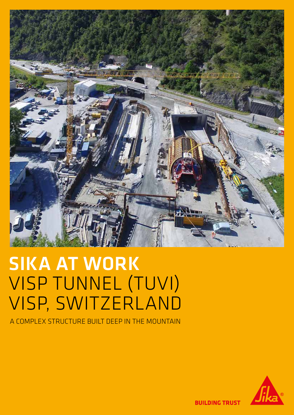

# SIKA AT WORK VISP TUNNEL (TUVI) VISP, SWITZERLAND

A COMPLEX STRUCTURE BUILT DEEP IN THE MOUNTAIN



**BUILDING TRUST**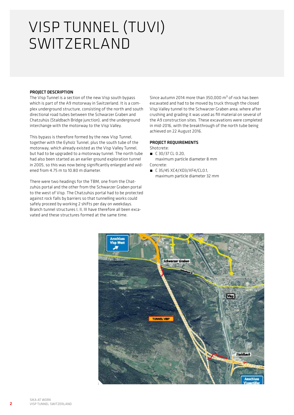### VISP TUNNEL (TUVI) SWITZERLAND

### PROJECT DESCRIPTION

The Visp Tunnel is a section of the new Visp south bypass which is part of the A9 motorway in Switzerland. It is a complex underground structure, consisting of the north and south directional road tubes between the Schwarzer Graben and Chatzuhüs (Staldbach Bridge junction), and the underground interchange with the motorway to the Visp Valley.

This bypass is therefore formed by the new Visp Tunnel, together with the Eyholz Tunnel, plus the south tube of the motorway, which already existed as the Visp Valley Tunnel, but had to be upgraded to a motorway tunnel. The north tube had also been started as an earlier ground exploration tunnel in 2005, so this was now being significantly enlarged and widened from 4.75 m to 10.80 m diameter.

There were two headings for the TBM, one from the Chatzuhüs portal and the other from the Schwarzer Graben portal to the west of Visp. The Chatzuhüs portal had to be protected against rock falls by barriers so that tunnelling works could safely proceed by working 2 shifts per day on weekdays. Branch tunnel structures I, II, III have therefore all been excavated and these structures formed at the same time.

Since autumn 2014 more than  $350.000$  m<sup>3</sup> of rock has been excavated and had to be moved by truck through the closed Visp Valley tunnel to the Schwarzer Graben area; where after crushing and grading it was used as fill material on several of the A9 construction sites. These excavations were completed in mid-2016, with the breakthrough of the north tube being achieved on 22 August 2016.

### PROJECT REQUIREMENTS

- Shotcrete:
- C 30/37 CL 0.20, maximum particle diameter 8 mm Concrete:
- C 35/45 XC4/XD3/XF4/CL0.1, maximum particle diameter 32 mm



2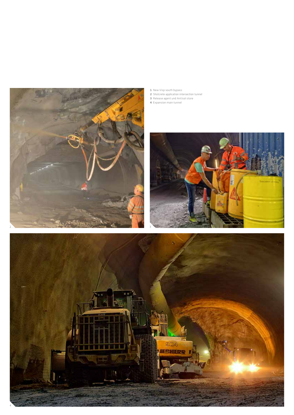





- Release agent und Antisol store Expansion main tunnel
- 2 Shotcrete application intersection tunnel
- New Visp south bypass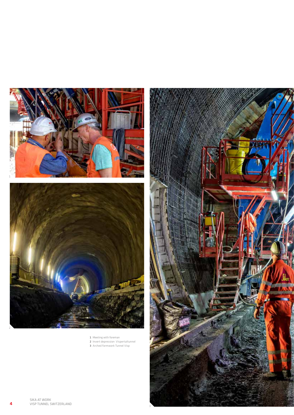

Meeting with foreman

 Invert depression Vispertaltunnel Arched formwork Tunnel Visp

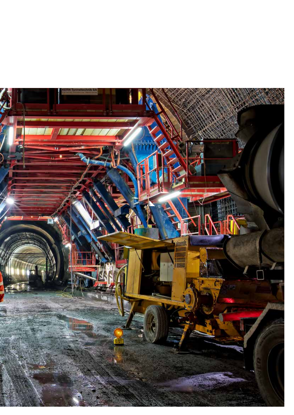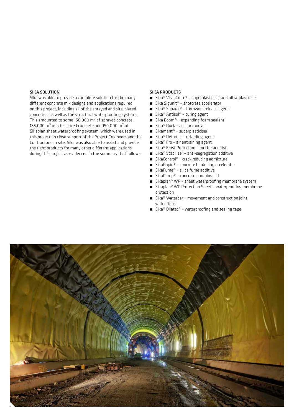### SIKA SOLUTION

Sika was able to provide a complete solution for the many different concrete mix designs and applications required on this project, including all of the sprayed and site-placed concretes, as well as the structural waterproofing systems. This amounted to some 150,000  $\text{m}^3$  of sprayed concrete, 185,000  $m<sup>3</sup>$  of site-placed concrete and 150,000  $m<sup>2</sup>$  of Sikaplan sheet waterproofing system, which were used in this project. In close support of the Project Engineers and the Contractors on site, Sika was also able to assist and provide the right products for many other different applications during this project as evidenced in the summary that follows.

#### SIKA PRODUCTS

- Sika® ViscoCrete® superplasticiser and ultra-plasticiser
- Sika Sigunit® shotcrete accelerator
- Sika® Separol® formwork release agent
- Sika® Antisol® curing agent
- Sika Boom® expanding foam sealant
- Sika® Rock anchor mortar
- Sikament® superplasticiser
- Sika® Retarder retarding agent
- Sika® Fro air entraining agent
- Sika® Frost Protection mortar additive
- Sika® Stabilizer anti-segregation additive
- SikaControl® crack reducing admixture
- SikaRapid® concrete hardening accelerator
- SikaFume® silica fume additive
- SikaPump® concrete pumping aid
- Sikaplan® WP sheet waterproofing membrane system
- Sikaplan® WP Protection Sheet waterproofing membrane protection
- Sika® Waterbar movement and construction joint waterstops
- Sika® Dilatec® waterproofing and sealing tape

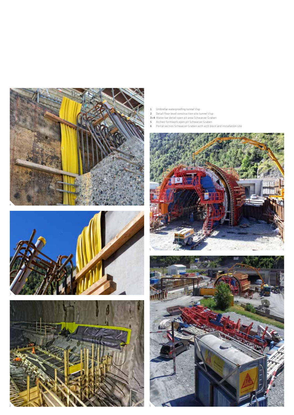







5

- 2 Detail floor level construction site tunnel Visp
- 
- 

ß

- 3+4 Water bar detail open pit area Schwarzer Graben
- 
- 
- 
- 
- 
- 

8

SIKA AT WORK

III SP TENN

- 
- 
- 
- 
- 
- 
- 
- 5 Arched formwork open pit Schwarzer Graben<br>5 Portal section Schwarzer Graben with arch blo Portal section Schwarzer Graben with arch block and installation site